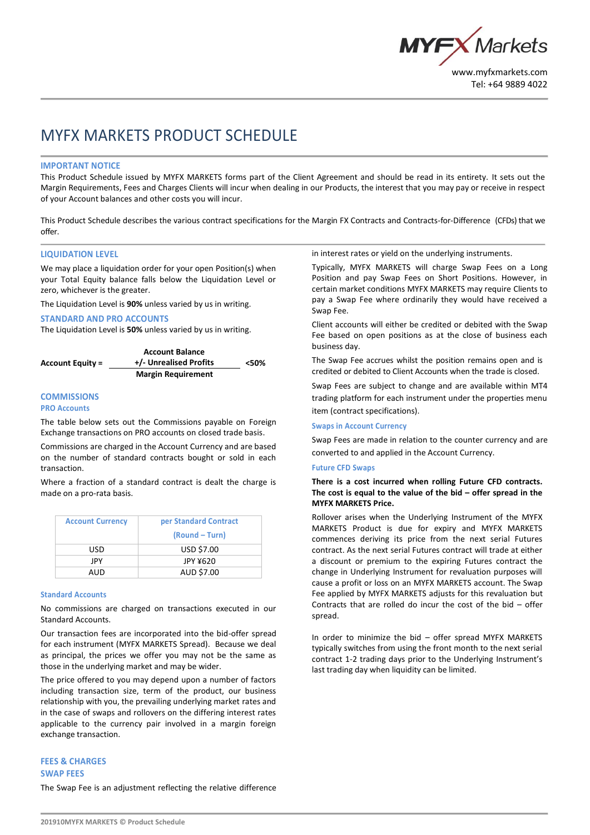

# MYFX MARKETS PRODUCT SCHEDULE

#### **IMPORTANT NOTICE**

This Product Schedule issued by MYFX MARKETS forms part of the Client Agreement and should be read in its entirety. It sets out the Margin Requirements, Fees and Charges Clients will incur when dealing in our Products, the interest that you may pay or receive in respect of your Account balances and other costs you will incur.

This Product Schedule describes the various contract specifications for the Margin FX Contracts and Contracts-for-Difference (CFDs) that we offer.

### **LIQUIDATION LEVEL**

We may place a liquidation order for your open Position(s) when your Total Equity balance falls below the Liquidation Level or zero, whichever is the greater.

The Liquidation Level is **90%** unless varied by us in writing.

#### **STANDARD AND PRO ACCOUNTS**

The Liquidation Level is **50%** unless varied by us in writing.

|                  | <b>Account Balance</b>    |      |
|------------------|---------------------------|------|
| Account Equity = | +/- Unrealised Profits    | <50% |
|                  | <b>Margin Requirement</b> |      |

# **COMMISSIONS**

**PRO Accounts**

The table below sets out the Commissions payable on Foreign Exchange transactions on PRO accounts on closed trade basis.

Commissions are charged in the Account Currency and are based on the number of standard contracts bought or sold in each transaction.

Where a fraction of a standard contract is dealt the charge is made on a pro-rata basis.

| <b>Account Currency</b> | per Standard Contract<br>(Round – Turn) |
|-------------------------|-----------------------------------------|
| USD                     | <b>USD \$7.00</b>                       |
| JPY                     | JPY ¥620                                |
| AUD                     | AUD \$7.00                              |

#### **Standard Accounts**

No commissions are charged on transactions executed in our Standard Accounts.

Our transaction fees are incorporated into the bid-offer spread for each instrument (MYFX MARKETS Spread). Because we deal as principal, the prices we offer you may not be the same as those in the underlying market and may be wider.

The price offered to you may depend upon a number of factors including transaction size, term of the product, our business relationship with you, the prevailing underlying market rates and in the case of swaps and rollovers on the differing interest rates applicable to the currency pair involved in a margin foreign exchange transaction.

# in interest rates or yield on the underlying instruments.

Typically, MYFX MARKETS will charge Swap Fees on a Long Position and pay Swap Fees on Short Positions. However, in certain market conditions MYFX MARKETS may require Clients to pay a Swap Fee where ordinarily they would have received a Swap Fee.

Client accounts will either be credited or debited with the Swap Fee based on open positions as at the close of business each business day.

The Swap Fee accrues whilst the position remains open and is credited or debited to Client Accounts when the trade is closed.

Swap Fees are subject to change and are available within MT4 trading platform for each instrument under the properties menu item (contract specifications).

#### **Swaps in Account Currency**

Swap Fees are made in relation to the counter currency and are converted to and applied in the Account Currency.

#### **Future CFD Swaps**

# **There is a cost incurred when rolling Future CFD contracts. The cost is equal to the value of the bid – offer spread in the MYFX MARKETS Price.**

Rollover arises when the Underlying Instrument of the MYFX MARKETS Product is due for expiry and MYFX MARKETS commences deriving its price from the next serial Futures contract. As the next serial Futures contract will trade at either a discount or premium to the expiring Futures contract the change in Underlying Instrument for revaluation purposes will cause a profit or loss on an MYFX MARKETS account. The Swap Fee applied by MYFX MARKETS adjusts for this revaluation but Contracts that are rolled do incur the cost of the bid – offer spread.

In order to minimize the bid – offer spread MYFX MARKETS typically switches from using the front month to the next serial contract 1-2 trading days prior to the Underlying Instrument's last trading day when liquidity can be limited.

# **FEES & CHARGES SWAP FEES**

The Swap Fee is an adjustment reflecting the relative difference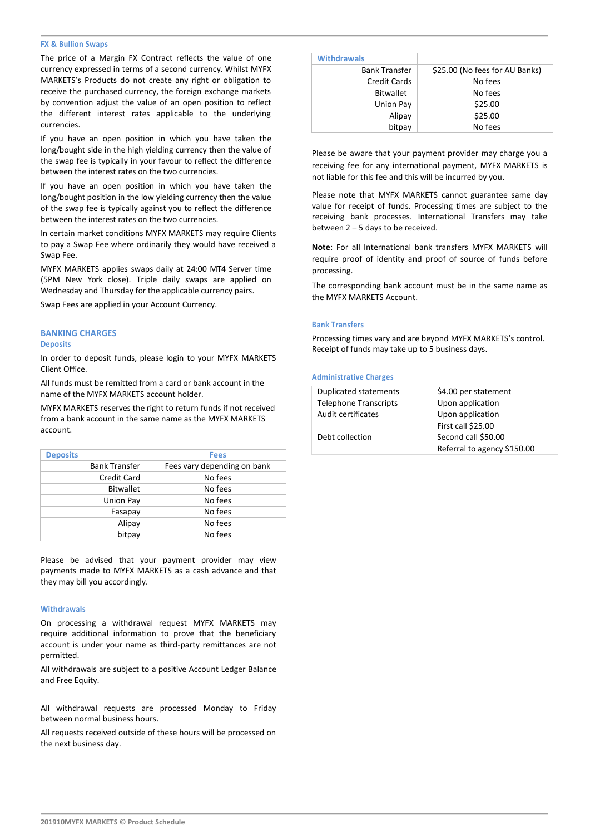#### **FX & Bullion Swaps**

The price of a Margin FX Contract reflects the value of one currency expressed in terms of a second currency. Whilst MYFX MARKETS's Products do not create any right or obligation to receive the purchased currency, the foreign exchange markets by convention adjust the value of an open position to reflect the different interest rates applicable to the underlying currencies.

If you have an open position in which you have taken the long/bought side in the high yielding currency then the value of the swap fee is typically in your favour to reflect the difference between the interest rates on the two currencies.

If you have an open position in which you have taken the long/bought position in the low yielding currency then the value of the swap fee is typically against you to reflect the difference between the interest rates on the two currencies.

In certain market conditions MYFX MARKETS may require Clients to pay a Swap Fee where ordinarily they would have received a Swap Fee.

MYFX MARKETS applies swaps daily at 24:00 MT4 Server time (5PM New York close). Triple daily swaps are applied on Wednesday and Thursday for the applicable currency pairs.

Swap Fees are applied in your Account Currency.

#### **BANKING CHARGES Deposits**

In order to deposit funds, please login to your MYFX MARKETS Client Office.

All funds must be remitted from a card or bank account in the name of the MYFX MARKETS account holder.

MYFX MARKETS reserves the right to return funds if not received from a bank account in the same name as the MYFX MARKETS account.

| <b>Deposits</b>      | <b>Fees</b>                 |
|----------------------|-----------------------------|
| <b>Bank Transfer</b> | Fees vary depending on bank |
| <b>Credit Card</b>   | No fees                     |
| <b>Bitwallet</b>     | No fees                     |
| Union Pay            | No fees                     |
| Fasapay              | No fees                     |
| Alipay               | No fees                     |
| bitpay               | No fees                     |
|                      |                             |

Please be advised that your payment provider may view payments made to MYFX MARKETS as a cash advance and that they may bill you accordingly.

#### **Withdrawals**

On processing a withdrawal request MYFX MARKETS may require additional information to prove that the beneficiary account is under your name as third-party remittances are not permitted.

All withdrawals are subject to a positive Account Ledger Balance and Free Equity.

All withdrawal requests are processed Monday to Friday between normal business hours.

All requests received outside of these hours will be processed on the next business day.

# **Withdrawals**

| <b>Bank Transfer</b> | \$25.00 (No fees for AU Banks) |  |  |  |
|----------------------|--------------------------------|--|--|--|
| Credit Cards         | No fees                        |  |  |  |
| <b>Bitwallet</b>     | No fees                        |  |  |  |
| Union Pay            | \$25.00                        |  |  |  |
| Alipay               | \$25.00                        |  |  |  |
| bitpay               | No fees                        |  |  |  |

Please be aware that your payment provider may charge you a receiving fee for any international payment, MYFX MARKETS is not liable for this fee and this will be incurred by you.

Please note that MYFX MARKETS cannot guarantee same day value for receipt of funds. Processing times are subject to the receiving bank processes. International Transfers may take between 2 – 5 days to be received.

**Note**: For all International bank transfers MYFX MARKETS will require proof of identity and proof of source of funds before processing.

The corresponding bank account must be in the same name as the MYFX MARKETS Account.

#### **Bank Transfers**

Processing times vary and are beyond MYFX MARKETS's control. Receipt of funds may take up to 5 business days.

#### **Administrative Charges**

| Duplicated statements        | \$4.00 per statement        |
|------------------------------|-----------------------------|
| <b>Telephone Transcripts</b> | Upon application            |
| Audit certificates           | Upon application            |
|                              | First call \$25.00          |
| Debt collection              | Second call \$50.00         |
|                              | Referral to agency \$150.00 |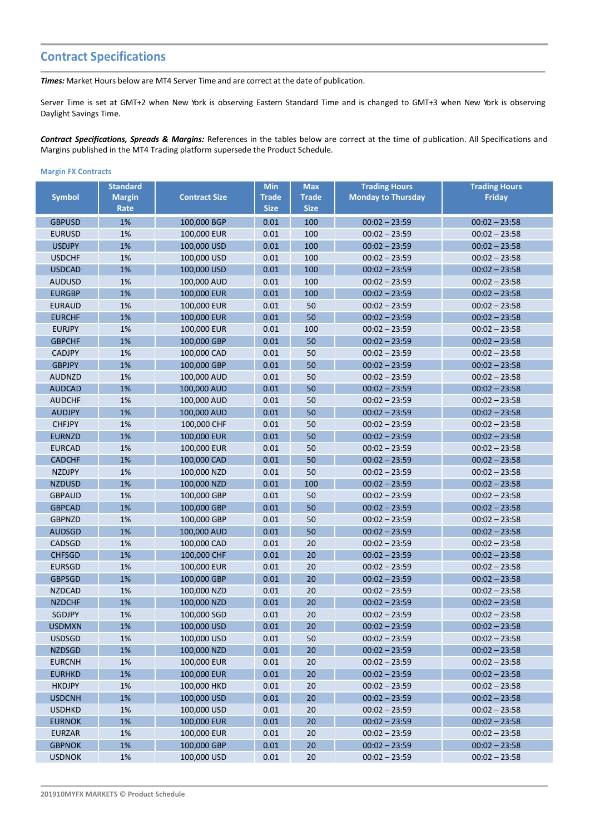# **Contract Specifications**

*Times:* Market Hours below are MT4 Server Time and are correct at the date of publication.

Server Time is set at GMT+2 when New York is observing Eastern Standard Time and is changed to GMT+3 when New York is observing Daylight Savings Time.

*Contract Specifications, Spreads & Margins:* References in the tables below are correct at the time of publication. All Specifications and Margins published in the MT4 Trading platform supersede the Product Schedule.

# **Margin FX Contracts**

|               | <b>Standard</b> |                      | <b>Min</b>   | <b>Max</b>   | <b>Trading Hours</b>      | <b>Trading Hours</b> |
|---------------|-----------------|----------------------|--------------|--------------|---------------------------|----------------------|
| <b>Symbol</b> | <b>Margin</b>   | <b>Contract Size</b> | <b>Trade</b> | <b>Trade</b> | <b>Monday to Thursday</b> | <b>Friday</b>        |
|               | Rate            |                      | <b>Size</b>  | <b>Size</b>  |                           |                      |
| <b>GBPUSD</b> | 1%              | 100,000 BGP          | 0.01         | 100          | $00:02 - 23:59$           | $00:02 - 23:58$      |
| <b>EURUSD</b> | 1%              | 100,000 EUR          | 0.01         | 100          | $00:02 - 23:59$           | $00:02 - 23:58$      |
| <b>USDJPY</b> | 1%              | 100,000 USD          | 0.01         | 100          | $00:02 - 23:59$           | $00:02 - 23:58$      |
| <b>USDCHF</b> | 1%              | 100,000 USD          | 0.01         | 100          | $00:02 - 23:59$           | $00:02 - 23:58$      |
| <b>USDCAD</b> | 1%              | 100,000 USD          | 0.01         | 100          | $00:02 - 23:59$           | $00:02 - 23:58$      |
| <b>AUDUSD</b> | 1%              | 100,000 AUD          | 0.01         | 100          | $00:02 - 23:59$           | $00:02 - 23:58$      |
| <b>EURGBP</b> | 1%              | 100,000 EUR          | 0.01         | 100          | $00:02 - 23:59$           | $00:02 - 23:58$      |
| <b>EURAUD</b> | 1%              | 100,000 EUR          | 0.01         | 50           | $00:02 - 23:59$           | $00:02 - 23:58$      |
| <b>EURCHF</b> | 1%              | 100,000 EUR          | 0.01         | 50           | $00:02 - 23:59$           | $00:02 - 23:58$      |
| <b>EURJPY</b> | 1%              | 100,000 EUR          | 0.01         | 100          | $00:02 - 23:59$           | $00:02 - 23:58$      |
| <b>GBPCHF</b> | 1%              | 100,000 GBP          | 0.01         | 50           | $00:02 - 23:59$           | $00:02 - 23:58$      |
| <b>CADJPY</b> | 1%              | 100,000 CAD          | 0.01         | 50           | $00:02 - 23:59$           | $00:02 - 23:58$      |
| <b>GBPJPY</b> | 1%              | 100,000 GBP          | 0.01         | 50           | $00:02 - 23:59$           | $00:02 - 23:58$      |
| <b>AUDNZD</b> | 1%              | 100,000 AUD          | 0.01         | 50           | $00:02 - 23:59$           | $00:02 - 23:58$      |
| <b>AUDCAD</b> | 1%              | 100,000 AUD          | 0.01         | 50           | $00:02 - 23:59$           | $00:02 - 23:58$      |
| <b>AUDCHF</b> | 1%              | 100,000 AUD          | 0.01         | 50           | $00:02 - 23:59$           | $00:02 - 23:58$      |
| <b>AUDJPY</b> | 1%              | 100,000 AUD          | 0.01         | 50           | $00:02 - 23:59$           | $00:02 - 23:58$      |
| <b>CHFJPY</b> | 1%              | 100,000 CHF          | 0.01         | 50           | $00:02 - 23:59$           | $00:02 - 23:58$      |
| <b>EURNZD</b> | 1%              | 100,000 EUR          | 0.01         | 50           | $00:02 - 23:59$           | $00:02 - 23:58$      |
| <b>EURCAD</b> | 1%              | 100,000 EUR          | 0.01         | 50           | $00:02 - 23:59$           | $00:02 - 23:58$      |
| <b>CADCHF</b> | 1%              | 100,000 CAD          | 0.01         | 50           | $00:02 - 23:59$           | $00:02 - 23:58$      |
| <b>NZDJPY</b> | 1%              | 100,000 NZD          | 0.01         | 50           | $00:02 - 23:59$           | $00:02 - 23:58$      |
| <b>NZDUSD</b> | 1%              | 100,000 NZD          | 0.01         | 100          | $00:02 - 23:59$           | $00:02 - 23:58$      |
| <b>GBPAUD</b> | 1%              | 100,000 GBP          | 0.01         | 50           | $00:02 - 23:59$           | $00:02 - 23:58$      |
| <b>GBPCAD</b> | 1%              | 100,000 GBP          | 0.01         | 50           | $00:02 - 23:59$           | $00:02 - 23:58$      |
| <b>GBPNZD</b> | 1%              | 100,000 GBP          | 0.01         | 50           | $00:02 - 23:59$           | $00:02 - 23:58$      |
| <b>AUDSGD</b> | 1%              | 100,000 AUD          | 0.01         | 50           | $00:02 - 23:59$           | $00:02 - 23:58$      |
| CADSGD        | 1%              | 100,000 CAD          | 0.01         | 20           | $00:02 - 23:59$           | $00:02 - 23:58$      |
| <b>CHFSGD</b> | 1%              | 100,000 CHF          | 0.01         | 20           | $00:02 - 23:59$           | $00:02 - 23:58$      |
| <b>EURSGD</b> | 1%              | 100,000 EUR          | 0.01         | 20           | $00:02 - 23:59$           | $00:02 - 23:58$      |
| <b>GBPSGD</b> | 1%              | 100,000 GBP          | 0.01         | 20           | $00:02 - 23:59$           | $00:02 - 23:58$      |
| <b>NZDCAD</b> | 1%              | 100,000 NZD          | 0.01         | 20           | $00:02 - 23:59$           | $00:02 - 23:58$      |
| <b>NZDCHF</b> | 1%              | 100,000 NZD          | 0.01         | 20           | $00:02 - 23:59$           | $00:02 - 23:58$      |
| <b>SGDJPY</b> | 1%              | 100,000 SGD          | 0.01         | 20           | $00:02 - 23:59$           | $00:02 - 23:58$      |
| <b>USDMXN</b> | 1%              | 100,000 USD          | 0.01         | 20           | $00:02 - 23:59$           | $00:02 - 23:58$      |
| <b>USDSGD</b> | 1%              | 100,000 USD          | 0.01         | 50           | $00:02 - 23:59$           | $00:02 - 23:58$      |
| <b>NZDSGD</b> | 1%              | 100,000 NZD          | 0.01         | 20           | $00:02 - 23:59$           | $00:02 - 23:58$      |
| <b>EURCNH</b> | 1%              | 100,000 EUR          | 0.01         | 20           | $00:02 - 23:59$           | $00:02 - 23:58$      |
| <b>EURHKD</b> | 1%              | 100,000 EUR          | 0.01         | 20           | $00:02 - 23:59$           | $00:02 - 23:58$      |
| HKDJPY        | 1%              | 100,000 HKD          | 0.01         | 20           | $00:02 - 23:59$           | $00:02 - 23:58$      |
| <b>USDCNH</b> | 1%              | 100,000 USD          | 0.01         | 20           | $00:02 - 23:59$           | $00:02 - 23:58$      |
| <b>USDHKD</b> | 1%              | 100,000 USD          | 0.01         | 20           | $00:02 - 23:59$           | $00:02 - 23:58$      |
| <b>EURNOK</b> | 1%              | 100,000 EUR          | 0.01         | 20           | $00:02 - 23:59$           | $00:02 - 23:58$      |
| EURZAR        | 1%              | 100,000 EUR          | 0.01         | 20           | $00:02 - 23:59$           | $00:02 - 23:58$      |
| <b>GBPNOK</b> | 1%              | 100,000 GBP          | 0.01         | 20           | $00:02 - 23:59$           | $00:02 - 23:58$      |
| <b>USDNOK</b> | 1%              | 100,000 USD          | 0.01         | 20           | $00:02 - 23:59$           | $00:02 - 23:58$      |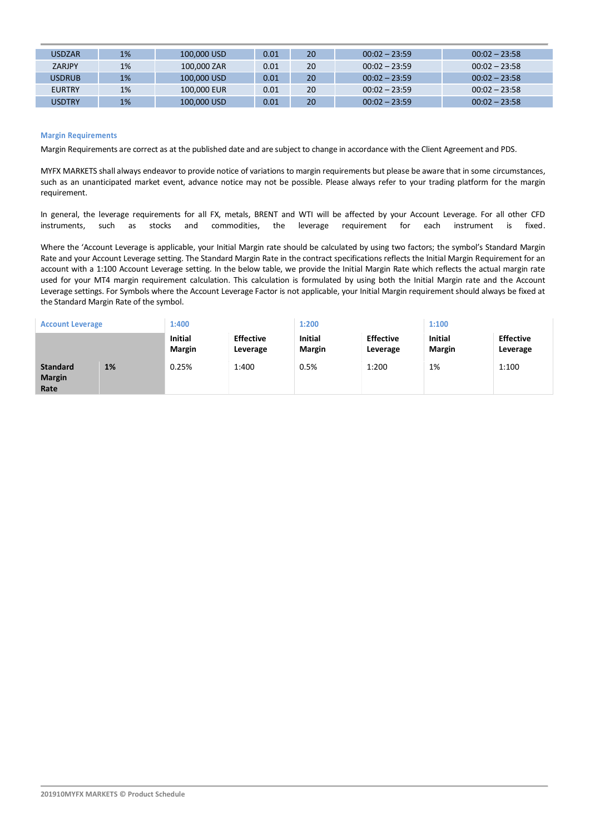| <b>USDZAR</b> | 1% | 100,000 USD | 0.01 | 20 | $00:02 - 23:59$ | $00:02 - 23:58$ |
|---------------|----|-------------|------|----|-----------------|-----------------|
| <b>ZARJPY</b> | 1% | 100,000 ZAR | 0.01 | 20 | $00:02 - 23:59$ | $00:02 - 23:58$ |
| <b>USDRUB</b> | 1% | 100,000 USD | 0.01 | 20 | $00:02 - 23:59$ | $00:02 - 23:58$ |
| <b>EURTRY</b> | 1% | 100,000 EUR | 0.01 | 20 | $00:02 - 23:59$ | $00:02 - 23:58$ |
| <b>USDTRY</b> | 1% | 100,000 USD | 0.01 | 20 | $00:02 - 23:59$ | $00:02 - 23:58$ |

## **Margin Requirements**

Margin Requirements are correct as at the published date and are subject to change in accordance with the Client Agreement and PDS.

MYFX MARKETS shall always endeavor to provide notice of variations to margin requirements but please be aware that in some circumstances, such as an unanticipated market event, advance notice may not be possible. Please always refer to your trading platform for the margin requirement.

In general, the leverage requirements for all FX, metals, BRENT and WTI will be affected by your Account Leverage. For all other CFD instruments, such as stocks and commodities, the leverage requirement for each instrument is fixed.

Where the 'Account Leverage is applicable, your Initial Margin rate should be calculated by using two factors; the symbol's Standard Margin Rate and your Account Leverage setting. The Standard Margin Rate in the contract specifications reflects the Initial Margin Requirement for an account with a 1:100 Account Leverage setting. In the below table, we provide the Initial Margin Rate which reflects the actual margin rate used for your MT4 margin requirement calculation. This calculation is formulated by using both the Initial Margin rate and the Account Leverage settings. For Symbols where the Account Leverage Factor is not applicable, your Initial Margin requirement should always be fixed at the Standard Margin Rate of the symbol.

| <b>Account Leverage</b>                  |    | 1:400                           |                              | 1:200                           |                              | 1:100                           |                              |
|------------------------------------------|----|---------------------------------|------------------------------|---------------------------------|------------------------------|---------------------------------|------------------------------|
|                                          |    | <b>Initial</b><br><b>Margin</b> | <b>Effective</b><br>Leverage | <b>Initial</b><br><b>Margin</b> | <b>Effective</b><br>Leverage | <b>Initial</b><br><b>Margin</b> | <b>Effective</b><br>Leverage |
| <b>Standard</b><br><b>Margin</b><br>Rate | 1% | 0.25%                           | 1:400                        | 0.5%                            | 1:200                        | 1%                              | 1:100                        |